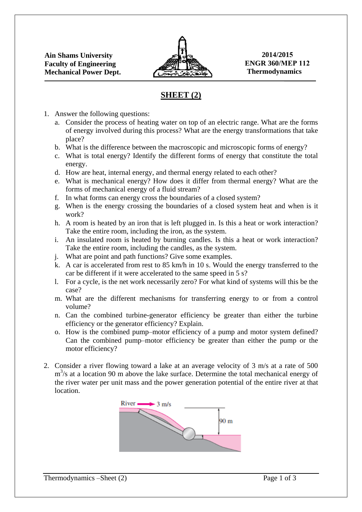

## **SHEET (2)**

- 1. Answer the following questions:
	- a. Consider the process of heating water on top of an electric range. What are the forms of energy involved during this process? What are the energy transformations that take place?
	- b. What is the difference between the macroscopic and microscopic forms of energy?
	- c. What is total energy? Identify the different forms of energy that constitute the total energy.
	- d. How are heat, internal energy, and thermal energy related to each other?
	- e. What is mechanical energy? How does it differ from thermal energy? What are the forms of mechanical energy of a fluid stream?
	- f. In what forms can energy cross the boundaries of a closed system?
	- g. When is the energy crossing the boundaries of a closed system heat and when is it work?
	- h. A room is heated by an iron that is left plugged in. Is this a heat or work interaction? Take the entire room, including the iron, as the system.
	- i. An insulated room is heated by burning candles. Is this a heat or work interaction? Take the entire room, including the candles, as the system.
	- j. What are point and path functions? Give some examples.
	- k. A car is accelerated from rest to 85 km/h in 10 s. Would the energy transferred to the car be different if it were accelerated to the same speed in 5 s?
	- l. For a cycle, is the net work necessarily zero? For what kind of systems will this be the case?
	- m. What are the different mechanisms for transferring energy to or from a control volume?
	- n. Can the combined turbine-generator efficiency be greater than either the turbine efficiency or the generator efficiency? Explain.
	- o. How is the combined pump–motor efficiency of a pump and motor system defined? Can the combined pump–motor efficiency be greater than either the pump or the motor efficiency?
- 2. Consider a river flowing toward a lake at an average velocity of 3 m/s at a rate of 500 m<sup>3</sup>/s at a location 90 m above the lake surface. Determine the total mechanical energy of the river water per unit mass and the power generation potential of the entire river at that location.

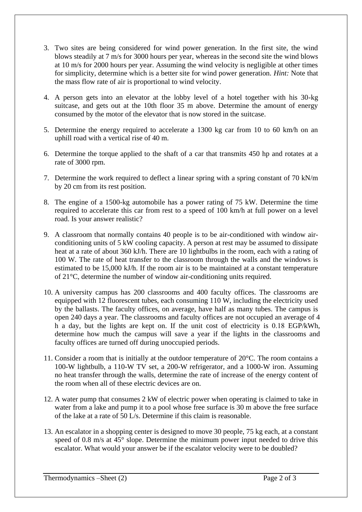- 3. Two sites are being considered for wind power generation. In the first site, the wind blows steadily at 7 m/s for 3000 hours per year, whereas in the second site the wind blows at 10 m/s for 2000 hours per year. Assuming the wind velocity is negligible at other times for simplicity, determine which is a better site for wind power generation. *Hint:* Note that the mass flow rate of air is proportional to wind velocity.
- 4. A person gets into an elevator at the lobby level of a hotel together with his 30-kg suitcase, and gets out at the 10th floor 35 m above. Determine the amount of energy consumed by the motor of the elevator that is now stored in the suitcase.
- 5. Determine the energy required to accelerate a 1300 kg car from 10 to 60 km/h on an uphill road with a vertical rise of 40 m.
- 6. Determine the torque applied to the shaft of a car that transmits 450 hp and rotates at a rate of 3000 rpm.
- 7. Determine the work required to deflect a linear spring with a spring constant of 70 kN/m by 20 cm from its rest position.
- 8. The engine of a 1500-kg automobile has a power rating of 75 kW. Determine the time required to accelerate this car from rest to a speed of 100 km/h at full power on a level road. Is your answer realistic?
- 9. A classroom that normally contains 40 people is to be air-conditioned with window airconditioning units of 5 kW cooling capacity. A person at rest may be assumed to dissipate heat at a rate of about 360 kJ/h. There are 10 lightbulbs in the room, each with a rating of 100 W. The rate of heat transfer to the classroom through the walls and the windows is estimated to be 15,000 kJ/h. If the room air is to be maintained at a constant temperature of 21°C, determine the number of window air-conditioning units required.
- 10. A university campus has 200 classrooms and 400 faculty offices. The classrooms are equipped with 12 fluorescent tubes, each consuming 110 W, including the electricity used by the ballasts. The faculty offices, on average, have half as many tubes. The campus is open 240 days a year. The classrooms and faculty offices are not occupied an average of 4 h a day, but the lights are kept on. If the unit cost of electricity is 0.18 EGP/kWh, determine how much the campus will save a year if the lights in the classrooms and faculty offices are turned off during unoccupied periods.
- 11. Consider a room that is initially at the outdoor temperature of 20°C. The room contains a 100-W lightbulb, a 110-W TV set, a 200-W refrigerator, and a 1000-W iron. Assuming no heat transfer through the walls, determine the rate of increase of the energy content of the room when all of these electric devices are on.
- 12. A water pump that consumes 2 kW of electric power when operating is claimed to take in water from a lake and pump it to a pool whose free surface is 30 m above the free surface of the lake at a rate of 50 L/s. Determine if this claim is reasonable.
- 13. An escalator in a shopping center is designed to move 30 people, 75 kg each, at a constant speed of 0.8 m/s at 45° slope. Determine the minimum power input needed to drive this escalator. What would your answer be if the escalator velocity were to be doubled?